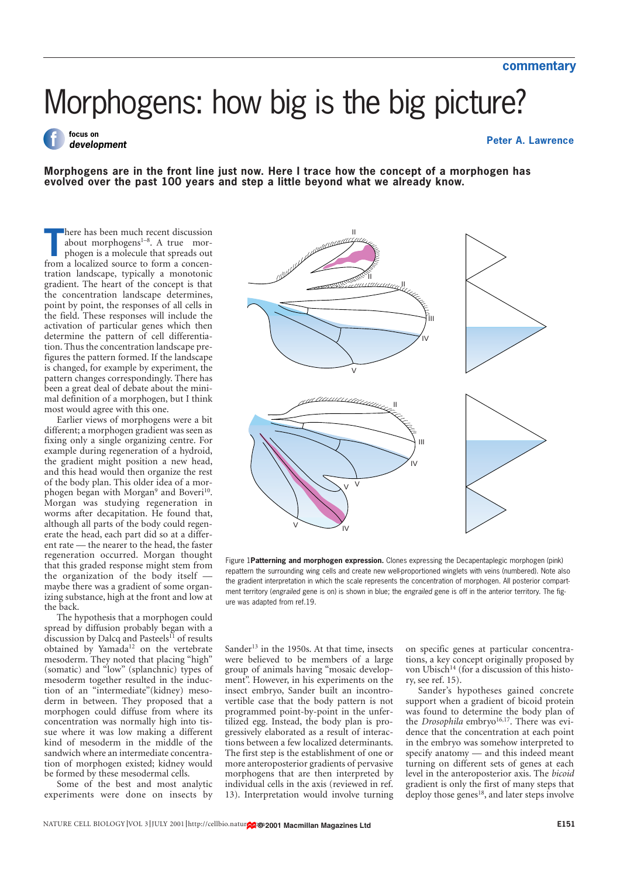# Morphogens: how big is the big picture?

# **f focus on development**

#### **Peter A. Lawrence**

**Morphogens are in the front line just now. Here I trace how the concept of a morphogen has evolved over the past 100 years and step a little beyond what we already know.**

here has been much recent discussion<br>
about morphogens<sup>1-8</sup>. A true morphogen is a molecule that spreads out<br>
from a localized source to form a concenhere has been much recent discussion about morphogens $1-8$ . A true morphogen is a molecule that spreads out tration landscape, typically a monotonic gradient. The heart of the concept is that the concentration landscape determines, point by point, the responses of all cells in the field. These responses will include the activation of particular genes which then determine the pattern of cell differentiation. Thus the concentration landscape prefigures the pattern formed. If the landscape is changed, for example by experiment, the pattern changes correspondingly. There has been a great deal of debate about the minimal definition of a morphogen, but I think most would agree with this one.

Earlier views of morphogens were a bit different; a morphogen gradient was seen as fixing only a single organizing centre. For example during regeneration of a hydroid, the gradient might position a new head, and this head would then organize the rest of the body plan. This older idea of a morphogen began with Morgan<sup>9</sup> and Boveri<sup>10</sup>. Morgan was studying regeneration in worms after decapitation. He found that, although all parts of the body could regenerate the head, each part did so at a different rate — the nearer to the head, the faster regeneration occurred. Morgan thought that this graded response might stem from the organization of the body itself maybe there was a gradient of some organizing substance, high at the front and low at the back.

The hypothesis that a morphogen could spread by diffusion probably began with a discussion by Dalcq and Pasteels<sup>11</sup> of results obtained by Yamada<sup>12</sup> on the vertebrate mesoderm. They noted that placing "high" (somatic) and "low" (splanchnic) types of mesoderm together resulted in the induction of an "intermediate"(kidney) mesoderm in between. They proposed that a morphogen could diffuse from where its concentration was normally high into tissue where it was low making a different kind of mesoderm in the middle of the sandwich where an intermediate concentration of morphogen existed; kidney would be formed by these mesodermal cells.

Some of the best and most analytic experiments were done on insects by



Figure 1**Patterning and morphogen expression.** Clones expressing the Decapentaplegic morphogen (pink) repattern the surrounding wing cells and create new well-proportioned winglets with veins (numbered). Note also the gradient interpretation in which the scale represents the concentration of morphogen. All posterior compartment territory (engrailed gene is on) is shown in blue; the engrailed gene is off in the anterior territory. The figure was adapted from ref.19.

Sander<sup>13</sup> in the 1950s. At that time, insects were believed to be members of a large group of animals having "mosaic development". However, in his experiments on the insect embryo, Sander built an incontrovertible case that the body pattern is not programmed point-by-point in the unfertilized egg. Instead, the body plan is progressively elaborated as a result of interactions between a few localized determinants. The first step is the establishment of one or more anteroposterior gradients of pervasive morphogens that are then interpreted by individual cells in the axis (reviewed in ref. 13). Interpretation would involve turning

on specific genes at particular concentrations, a key concept originally proposed by von Ubisch<sup>14</sup> (for a discussion of this history, see ref. 15).

Sander's hypotheses gained concrete support when a gradient of bicoid protein was found to determine the body plan of the *Drosophila* embryo<sup>16,17</sup>. There was evidence that the concentration at each point in the embryo was somehow interpreted to specify anatomy — and this indeed meant turning on different sets of genes at each level in the anteroposterior axis. The *bicoid* gradient is only the first of many steps that deploy those genes<sup>18</sup>, and later steps involve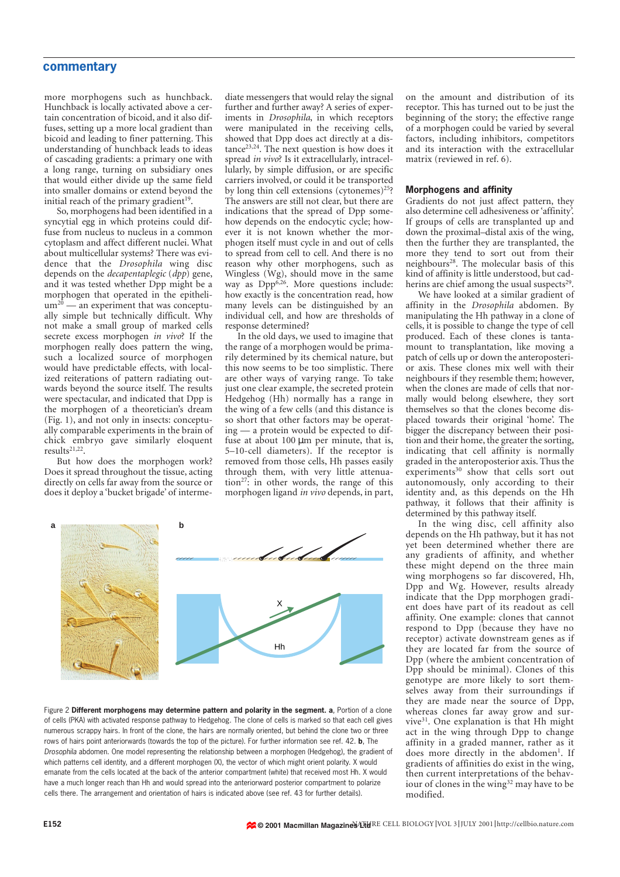## **commentary**

more morphogens such as hunchback. Hunchback is locally activated above a certain concentration of bicoid, and it also diffuses, setting up a more local gradient than bicoid and leading to finer patterning. This understanding of hunchback leads to ideas of cascading gradients: a primary one with a long range, turning on subsidiary ones that would either divide up the same field into smaller domains or extend beyond the initial reach of the primary gradient<sup>19</sup>.

So, morphogens had been identified in a syncytial egg in which proteins could diffuse from nucleus to nucleus in a common cytoplasm and affect different nuclei. What about multicellular systems? There was evidence that the *Drosophila* wing disc depends on the *decapentaplegic* (*dpp*) gene, and it was tested whether Dpp might be a morphogen that operated in the epitheli $um<sup>20</sup>$  — an experiment that was conceptually simple but technically difficult. Why not make a small group of marked cells secrete excess morphogen *in vivo*? If the morphogen really does pattern the wing, such a localized source of morphogen would have predictable effects, with localized reiterations of pattern radiating outwards beyond the source itself. The results were spectacular, and indicated that Dpp is the morphogen of a theoretician's dream (Fig. 1), and not only in insects: conceptually comparable experiments in the brain of chick embryo gave similarly eloquent results21,22.

But how does the morphogen work? Does it spread throughout the tissue, acting directly on cells far away from the source or does it deploy a 'bucket brigade' of interme-

diate messengers that would relay the signal further and further away? A series of experiments in *Drosophila*, in which receptors were manipulated in the receiving cells, showed that Dpp does act directly at a dis $tance<sup>23,24</sup>$ . The next question is how does it spread *in vivo*? Is it extracellularly, intracellularly, by simple diffusion, or are specific carriers involved, or could it be transported by long thin cell extensions (cytonemes)25? The answers are still not clear, but there are indications that the spread of Dpp somehow depends on the endocytic cycle; however it is not known whether the morphogen itself must cycle in and out of cells to spread from cell to cell. And there is no reason why other morphogens, such as Wingless (Wg), should move in the same way as  $Dpp^{6,26}$ . More questions include: how exactly is the concentration read, how many levels can be distinguished by an individual cell, and how are thresholds of response determined?

In the old days, we used to imagine that the range of a morphogen would be primarily determined by its chemical nature, but this now seems to be too simplistic. There are other ways of varying range. To take just one clear example, the secreted protein Hedgehog (Hh) normally has a range in the wing of a few cells (and this distance is so short that other factors may be operating — a protein would be expected to diffuse at about 100 µm per minute, that is, 5–10-cell diameters). If the receptor is removed from those cells, Hh passes easily through them, with very little attenuation<sup>27</sup>: in other words, the range of this morphogen ligand *in vivo* depends, in part,



Figure 2 **Different morphogens may determine pattern and polarity in the segment. a**, Portion of a clone of cells (PKA) with activated response pathway to Hedgehog. The clone of cells is marked so that each cell gives numerous scrappy hairs. In front of the clone, the hairs are normally oriented, but behind the clone two or three rows of hairs point anteriorwards (towards the top of the picture). For further information see ref. 42. **b**, The Drosophila abdomen. One model representing the relationship between a morphogen (Hedgehog), the gradient of which patterns cell identity, and a different morphogen (X), the vector of which might orient polarity. X would emanate from the cells located at the back of the anterior compartment (white) that received most Hh. X would have a much longer reach than Hh and would spread into the anteriorward posterior compartment to polarize cells there. The arrangement and orientation of hairs is indicated above (see ref. 43 for further details).

on the amount and distribution of its receptor. This has turned out to be just the beginning of the story; the effective range of a morphogen could be varied by several factors, including inhibitors, competitors and its interaction with the extracellular matrix (reviewed in ref. 6).

#### **Morphogens and affinity**

Gradients do not just affect pattern, they also determine cell adhesiveness or 'affinity'. If groups of cells are transplanted up and down the proximal–distal axis of the wing, then the further they are transplanted, the more they tend to sort out from their neighbours<sup>28</sup>. The molecular basis of this kind of affinity is little understood, but cadherins are chief among the usual suspects<sup>29</sup>.

We have looked at a similar gradient of affinity in the *Drosophila* abdomen. By manipulating the Hh pathway in a clone of cells, it is possible to change the type of cell produced. Each of these clones is tantamount to transplantation, like moving a patch of cells up or down the anteroposterior axis. These clones mix well with their neighbours if they resemble them; however, when the clones are made of cells that normally would belong elsewhere, they sort themselves so that the clones become displaced towards their original 'home'. The bigger the discrepancy between their position and their home, the greater the sorting, indicating that cell affinity is normally graded in the anteroposterior axis. Thus the experiments $30$  show that cells sort out autonomously, only according to their identity and, as this depends on the Hh pathway, it follows that their affinity is determined by this pathway itself.

In the wing disc, cell affinity also depends on the Hh pathway, but it has not yet been determined whether there are any gradients of affinity, and whether these might depend on the three main wing morphogens so far discovered, Hh, Dpp and Wg. However, results already indicate that the Dpp morphogen gradient does have part of its readout as cell affinity. One example: clones that cannot respond to Dpp (because they have no receptor) activate downstream genes as if they are located far from the source of Dpp (where the ambient concentration of Dpp should be minimal). Clones of this genotype are more likely to sort themselves away from their surroundings if they are made near the source of Dpp, whereas clones far away grow and survive<sup>31</sup>. One explanation is that Hh might act in the wing through Dpp to change affinity in a graded manner, rather as it does more directly in the abdomen<sup>1</sup>. If gradients of affinities do exist in the wing, then current interpretations of the behaviour of clones in the wing<sup>32</sup> may have to be modified.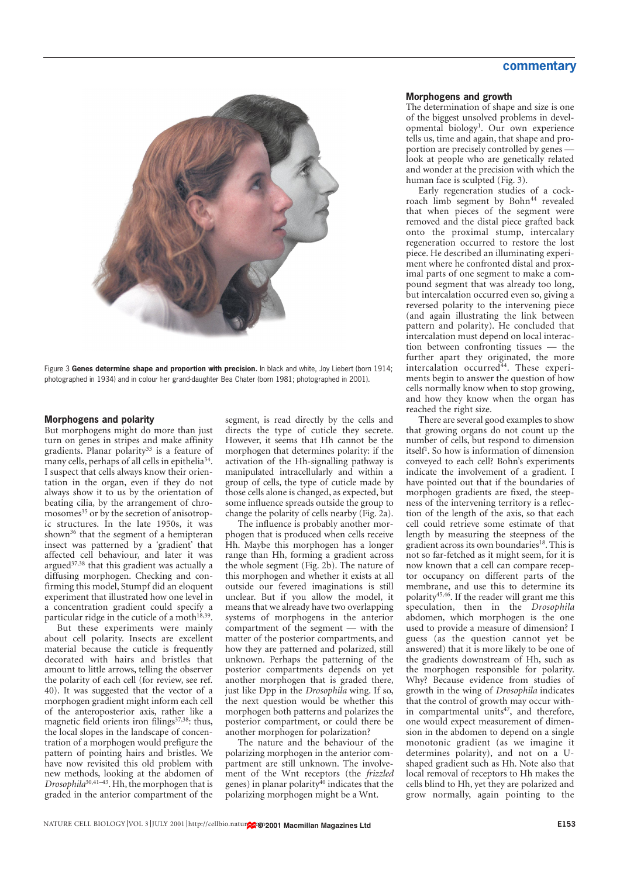# **commentary**



Figure 3 **Genes determine shape and proportion with precision.** In black and white, Joy Liebert (born 1914; photographed in 1934) and in colour her grand-daughter Bea Chater (born 1981; photographed in 2001).

#### **Morphogens and polarity**

But morphogens might do more than just turn on genes in stripes and make affinity gradients. Planar polarity<sup>33</sup> is a feature of many cells, perhaps of all cells in epithelia<sup>34</sup>. I suspect that cells always know their orientation in the organ, even if they do not always show it to us by the orientation of beating cilia, by the arrangement of chromosomes<sup>35</sup> or by the secretion of anisotropic structures. In the late 1950s, it was shown<sup>36</sup> that the segment of a hemipteran insect was patterned by a 'gradient' that affected cell behaviour, and later it was argued $37,38$  that this gradient was actually a diffusing morphogen. Checking and confirming this model, Stumpf did an eloquent experiment that illustrated how one level in a concentration gradient could specify a particular ridge in the cuticle of a moth<sup>18,39</sup>.

But these experiments were mainly about cell polarity. Insects are excellent material because the cuticle is frequently decorated with hairs and bristles that amount to little arrows, telling the observer the polarity of each cell (for review, see ref. 40). It was suggested that the vector of a morphogen gradient might inform each cell of the anteroposterior axis, rather like a magnetic field orients iron filings<sup>37,38</sup>: thus, the local slopes in the landscape of concentration of a morphogen would prefigure the pattern of pointing hairs and bristles. We have now revisited this old problem with new methods, looking at the abdomen of *Drosophila*30,41–43. Hh, the morphogen that is graded in the anterior compartment of the

segment, is read directly by the cells and directs the type of cuticle they secrete. However, it seems that Hh cannot be the morphogen that determines polarity: if the activation of the Hh-signalling pathway is manipulated intracellularly and within a group of cells, the type of cuticle made by those cells alone is changed, as expected, but some influence spreads outside the group to change the polarity of cells nearby (Fig. 2a).

The influence is probably another morphogen that is produced when cells receive Hh. Maybe this morphogen has a longer range than Hh, forming a gradient across the whole segment (Fig. 2b). The nature of this morphogen and whether it exists at all outside our fevered imaginations is still unclear. But if you allow the model, it means that we already have two overlapping systems of morphogens in the anterior compartment of the segment — with the matter of the posterior compartments, and how they are patterned and polarized, still unknown. Perhaps the patterning of the posterior compartments depends on yet another morphogen that is graded there, just like Dpp in the *Drosophila* wing. If so, the next question would be whether this morphogen both patterns and polarizes the posterior compartment, or could there be another morphogen for polarization?

The nature and the behaviour of the polarizing morphogen in the anterior compartment are still unknown. The involvement of the Wnt receptors (the *frizzled* genes) in planar polarity<sup>40</sup> indicates that the polarizing morphogen might be a Wnt.

#### **Morphogens and growth**

The determination of shape and size is one of the biggest unsolved problems in developmental biology<sup>1</sup>. Our own experience tells us, time and again, that shape and proportion are precisely controlled by genes look at people who are genetically related and wonder at the precision with which the human face is sculpted (Fig. 3).

Early regeneration studies of a cockroach limb segment by Bohn<sup>44</sup> revealed that when pieces of the segment were removed and the distal piece grafted back onto the proximal stump, intercalary regeneration occurred to restore the lost piece. He described an illuminating experiment where he confronted distal and proximal parts of one segment to make a compound segment that was already too long, but intercalation occurred even so, giving a reversed polarity to the intervening piece (and again illustrating the link between pattern and polarity). He concluded that intercalation must depend on local interaction between confronting tissues — the further apart they originated, the more intercalation occurred<sup>44</sup>. These experiments begin to answer the question of how cells normally know when to stop growing, and how they know when the organ has reached the right size.

There are several good examples to show that growing organs do not count up the number of cells, but respond to dimension itself1 . So how is information of dimension conveyed to each cell? Bohn's experiments indicate the involvement of a gradient. I have pointed out that if the boundaries of morphogen gradients are fixed, the steepness of the intervening territory is a reflection of the length of the axis, so that each cell could retrieve some estimate of that length by measuring the steepness of the gradient across its own boundaries<sup>18</sup>. This is not so far-fetched as it might seem, for it is now known that a cell can compare receptor occupancy on different parts of the membrane, and use this to determine its polarity45,46. If the reader will grant me this speculation, then in the *Drosophila* abdomen, which morphogen is the one used to provide a measure of dimension? I guess (as the question cannot yet be answered) that it is more likely to be one of the gradients downstream of Hh, such as the morphogen responsible for polarity. Why? Because evidence from studies of growth in the wing of *Drosophila* indicates that the control of growth may occur within compartmental units<sup>47</sup>, and therefore, one would expect measurement of dimension in the abdomen to depend on a single monotonic gradient (as we imagine it determines polarity), and not on a Ushaped gradient such as Hh. Note also that local removal of receptors to Hh makes the cells blind to Hh, yet they are polarized and grow normally, again pointing to the